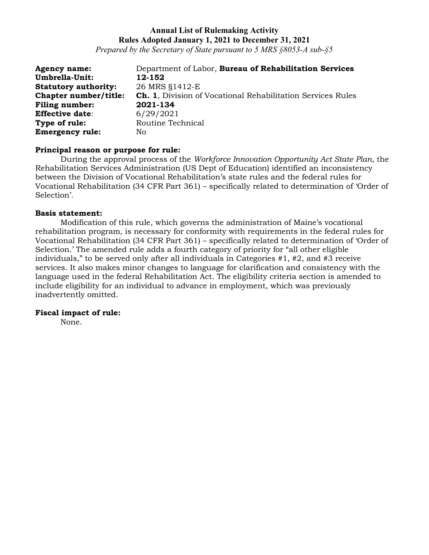*Prepared by the Secretary of State pursuant to 5 MRS §8053-A sub-§5*

| <b>Agency name:</b>         | Department of Labor, Bureau of Rehabilitation Services             |
|-----------------------------|--------------------------------------------------------------------|
| Umbrella-Unit:              | 12-152                                                             |
| <b>Statutory authority:</b> | 26 MRS §1412-E                                                     |
| Chapter number/title:       | <b>Ch. 1, Division of Vocational Rehabilitation Services Rules</b> |
| <b>Filing number:</b>       | 2021-134                                                           |
| <b>Effective date:</b>      | 6/29/2021                                                          |
| Type of rule:               | Routine Technical                                                  |
| <b>Emergency rule:</b>      | No                                                                 |

#### **Principal reason or purpose for rule:**

During the approval process of the *Workforce Innovation Opportunity Act State Plan*, the Rehabilitation Services Administration (US Dept of Education) identified an inconsistency between the Division of Vocational Rehabilitation's state rules and the federal rules for Vocational Rehabilitation (34 CFR Part 361) – specifically related to determination of 'Order of Selection'.

#### **Basis statement:**

Modification of this rule, which governs the administration of Maine's vocational rehabilitation program, is necessary for conformity with requirements in the federal rules for Vocational Rehabilitation (34 CFR Part 361) – specifically related to determination of 'Order of Selection.' The amended rule adds a fourth category of priority for "all other eligible individuals," to be served only after all individuals in Categories #1, #2, and #3 receive services. It also makes minor changes to language for clarification and consistency with the language used in the federal Rehabilitation Act. The eligibility criteria section is amended to include eligibility for an individual to advance in employment, which was previously inadvertently omitted.

### **Fiscal impact of rule:**

None.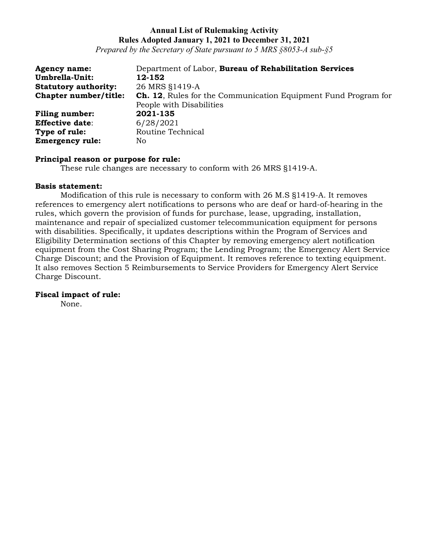*Prepared by the Secretary of State pursuant to 5 MRS §8053-A sub-§5*

| <b>Agency name:</b>         | Department of Labor, Bureau of Rehabilitation Services                |
|-----------------------------|-----------------------------------------------------------------------|
| Umbrella-Unit:              | 12-152                                                                |
| <b>Statutory authority:</b> | 26 MRS §1419-A                                                        |
| Chapter number/title:       | <b>Ch. 12.</b> Rules for the Communication Equipment Fund Program for |
|                             | People with Disabilities                                              |
| <b>Filing number:</b>       | 2021-135                                                              |
| <b>Effective date:</b>      | 6/28/2021                                                             |
| Type of rule:               | Routine Technical                                                     |
| <b>Emergency rule:</b>      | No.                                                                   |

#### **Principal reason or purpose for rule:**

These rule changes are necessary to conform with 26 MRS §1419-A.

#### **Basis statement:**

Modification of this rule is necessary to conform with 26 M.S §1419-A. It removes references to emergency alert notifications to persons who are deaf or hard-of-hearing in the rules, which govern the provision of funds for purchase, lease, upgrading, installation, maintenance and repair of specialized customer telecommunication equipment for persons with disabilities. Specifically, it updates descriptions within the Program of Services and Eligibility Determination sections of this Chapter by removing emergency alert notification equipment from the Cost Sharing Program; the Lending Program; the Emergency Alert Service Charge Discount; and the Provision of Equipment. It removes reference to texting equipment. It also removes Section 5 Reimbursements to Service Providers for Emergency Alert Service Charge Discount.

#### **Fiscal impact of rule:**

None.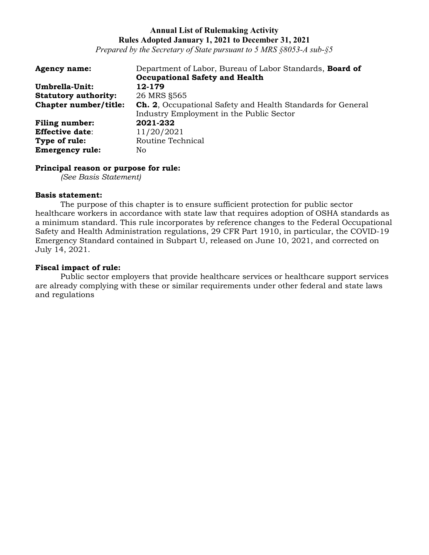*Prepared by the Secretary of State pursuant to 5 MRS §8053-A sub-§5*

| <b>Agency name:</b>         | Department of Labor, Bureau of Labor Standards, Board of           |
|-----------------------------|--------------------------------------------------------------------|
|                             | <b>Occupational Safety and Health</b>                              |
| Umbrella-Unit:              | 12-179                                                             |
| <b>Statutory authority:</b> | 26 MRS \$565                                                       |
| Chapter number/title:       | <b>Ch. 2.</b> Occupational Safety and Health Standards for General |
|                             | Industry Employment in the Public Sector                           |
| <b>Filing number:</b>       | 2021-232                                                           |
| <b>Effective date:</b>      | 11/20/2021                                                         |
| Type of rule:               | Routine Technical                                                  |
| <b>Emergency rule:</b>      | No.                                                                |

#### **Principal reason or purpose for rule:**

*(See Basis Statement)*

### **Basis statement:**

The purpose of this chapter is to ensure sufficient protection for public sector healthcare workers in accordance with state law that requires adoption of OSHA standards as a minimum standard. This rule incorporates by reference changes to the Federal Occupational Safety and Health Administration regulations, 29 CFR Part 1910, in particular, the COVID-19 Emergency Standard contained in Subpart U, released on June 10, 2021, and corrected on July 14, 2021.

### **Fiscal impact of rule:**

Public sector employers that provide healthcare services or healthcare support services are already complying with these or similar requirements under other federal and state laws and regulations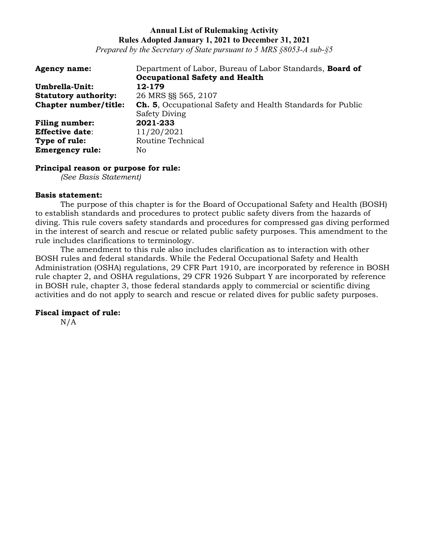*Prepared by the Secretary of State pursuant to 5 MRS §8053-A sub-§5*

| <b>Agency name:</b>         | Department of Labor, Bureau of Labor Standards, Board of          |
|-----------------------------|-------------------------------------------------------------------|
|                             | <b>Occupational Safety and Health</b>                             |
| Umbrella-Unit:              | 12-179                                                            |
| <b>Statutory authority:</b> | 26 MRS §§ 565, 2107                                               |
| Chapter number/title:       | <b>Ch. 5.</b> Occupational Safety and Health Standards for Public |
|                             | <b>Safety Diving</b>                                              |
| <b>Filing number:</b>       | 2021-233                                                          |
| <b>Effective date:</b>      | 11/20/2021                                                        |
| Type of rule:               | Routine Technical                                                 |
| <b>Emergency rule:</b>      | No.                                                               |

### **Principal reason or purpose for rule:**

*(See Basis Statement)*

### **Basis statement:**

The purpose of this chapter is for the Board of Occupational Safety and Health (BOSH) to establish standards and procedures to protect public safety divers from the hazards of diving. This rule covers safety standards and procedures for compressed gas diving performed in the interest of search and rescue or related public safety purposes. This amendment to the rule includes clarifications to terminology.

The amendment to this rule also includes clarification as to interaction with other BOSH rules and federal standards. While the Federal Occupational Safety and Health Administration (OSHA) regulations, 29 CFR Part 1910, are incorporated by reference in BOSH rule chapter 2, and OSHA regulations, 29 CFR 1926 Subpart Y are incorporated by reference in BOSH rule, chapter 3, those federal standards apply to commercial or scientific diving activities and do not apply to search and rescue or related dives for public safety purposes.

# **Fiscal impact of rule:**

N/A